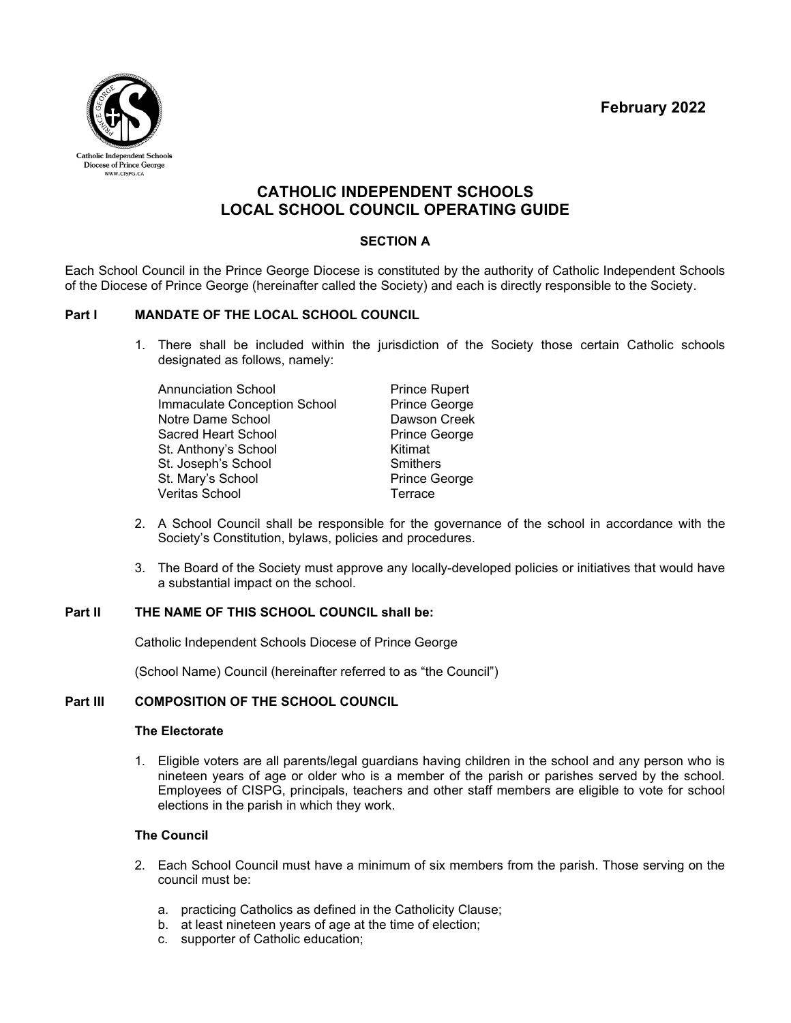**February 2022**



# **CATHOLIC INDEPENDENT SCHOOLS LOCAL SCHOOL COUNCIL OPERATING GUIDE**

# **SECTION A**

Each School Council in the Prince George Diocese is constituted by the authority of Catholic Independent Schools of the Diocese of Prince George (hereinafter called the Society) and each is directly responsible to the Society.

# **Part I MANDATE OF THE LOCAL SCHOOL COUNCIL**

1. There shall be included within the jurisdiction of the Society those certain Catholic schools designated as follows, namely:

| <b>Annunciation School</b>   | <b>Prince Rupert</b> |
|------------------------------|----------------------|
| Immaculate Conception School | Prince George        |
| Notre Dame School            | Dawson Creek         |
| Sacred Heart School          | <b>Prince George</b> |
| St. Anthony's School         | Kitimat              |
| St. Joseph's School          | Smithers             |
| St. Mary's School            | <b>Prince George</b> |
| Veritas School               | Terrace              |

- 2. A School Council shall be responsible for the governance of the school in accordance with the Society's Constitution, bylaws, policies and procedures.
- 3. The Board of the Society must approve any locally-developed policies or initiatives that would have a substantial impact on the school.

# **Part II THE NAME OF THIS SCHOOL COUNCIL shall be:**

Catholic Independent Schools Diocese of Prince George

(School Name) Council (hereinafter referred to as "the Council")

# **Part III COMPOSITION OF THE SCHOOL COUNCIL**

# **The Electorate**

1. Eligible voters are all parents/legal guardians having children in the school and any person who is nineteen years of age or older who is a member of the parish or parishes served by the school. Employees of CISPG, principals, teachers and other staff members are eligible to vote for school elections in the parish in which they work.

# **The Council**

- 2. Each School Council must have a minimum of six members from the parish. Those serving on the council must be:
	- a. practicing Catholics as defined in the Catholicity Clause;
	- b. at least nineteen years of age at the time of election;
	- c. supporter of Catholic education;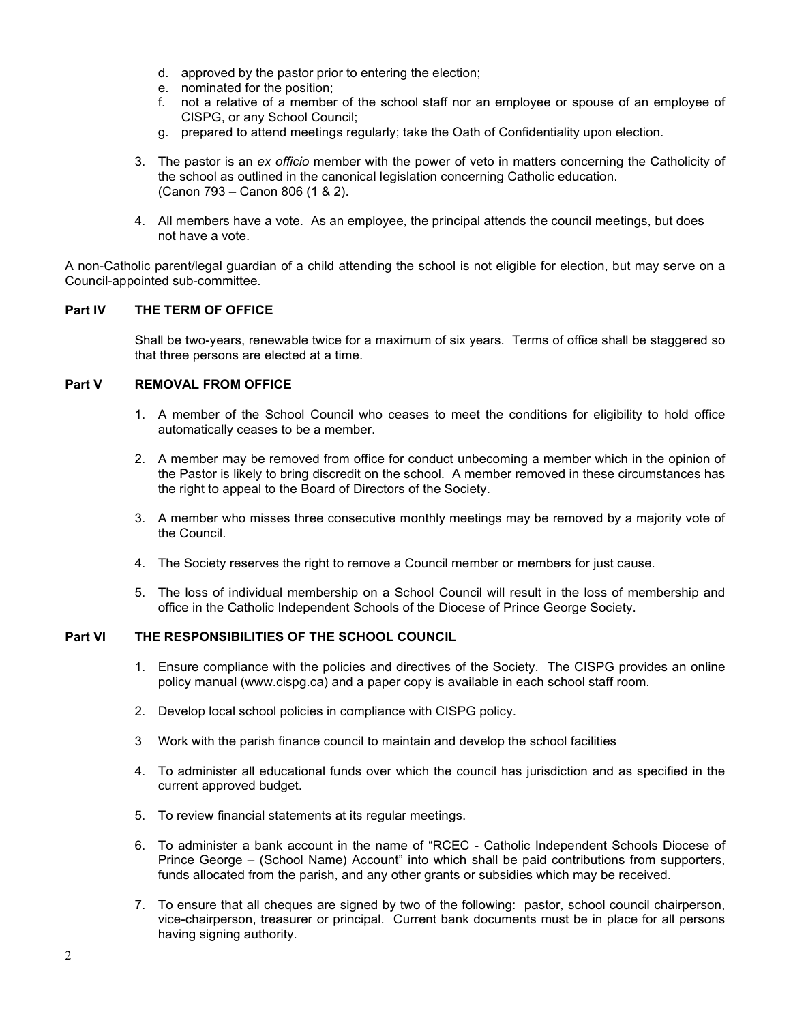- d. approved by the pastor prior to entering the election;
- e. nominated for the position;
- f. not a relative of a member of the school staff nor an employee or spouse of an employee of CISPG, or any School Council;
- g. prepared to attend meetings regularly; take the Oath of Confidentiality upon election.
- 3. The pastor is an *ex officio* member with the power of veto in matters concerning the Catholicity of the school as outlined in the canonical legislation concerning Catholic education. (Canon 793 – Canon 806 (1 & 2).
- 4. All members have a vote. As an employee, the principal attends the council meetings, but does not have a vote.

A non-Catholic parent/legal guardian of a child attending the school is not eligible for election, but may serve on a Council-appointed sub-committee.

# **Part IV THE TERM OF OFFICE**

Shall be two-years, renewable twice for a maximum of six years. Terms of office shall be staggered so that three persons are elected at a time.

# **Part V REMOVAL FROM OFFICE**

- 1. A member of the School Council who ceases to meet the conditions for eligibility to hold office automatically ceases to be a member.
- 2. A member may be removed from office for conduct unbecoming a member which in the opinion of the Pastor is likely to bring discredit on the school. A member removed in these circumstances has the right to appeal to the Board of Directors of the Society.
- 3. A member who misses three consecutive monthly meetings may be removed by a majority vote of the Council.
- 4. The Society reserves the right to remove a Council member or members for just cause.
- 5. The loss of individual membership on a School Council will result in the loss of membership and office in the Catholic Independent Schools of the Diocese of Prince George Society.

# **Part VI THE RESPONSIBILITIES OF THE SCHOOL COUNCIL**

- 1. Ensure compliance with the policies and directives of the Society. The CISPG provides an online policy manual (www.cispg.ca) and a paper copy is available in each school staff room.
- 2. Develop local school policies in compliance with CISPG policy.
- 3 Work with the parish finance council to maintain and develop the school facilities
- 4. To administer all educational funds over which the council has jurisdiction and as specified in the current approved budget.
- 5. To review financial statements at its regular meetings.
- 6. To administer a bank account in the name of "RCEC Catholic Independent Schools Diocese of Prince George – (School Name) Account" into which shall be paid contributions from supporters, funds allocated from the parish, and any other grants or subsidies which may be received.
- 7. To ensure that all cheques are signed by two of the following: pastor, school council chairperson, vice-chairperson, treasurer or principal. Current bank documents must be in place for all persons having signing authority.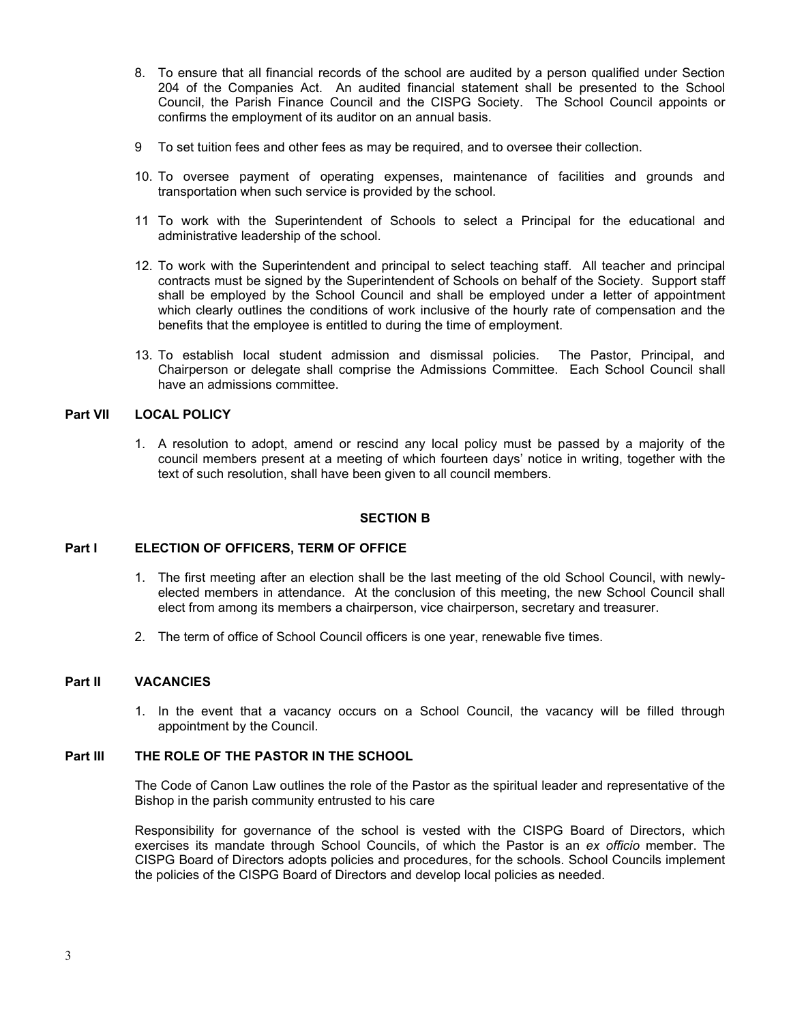- 8. To ensure that all financial records of the school are audited by a person qualified under Section 204 of the Companies Act. An audited financial statement shall be presented to the School Council, the Parish Finance Council and the CISPG Society. The School Council appoints or confirms the employment of its auditor on an annual basis.
- 9 To set tuition fees and other fees as may be required, and to oversee their collection.
- 10. To oversee payment of operating expenses, maintenance of facilities and grounds and transportation when such service is provided by the school.
- 11 To work with the Superintendent of Schools to select a Principal for the educational and administrative leadership of the school.
- 12. To work with the Superintendent and principal to select teaching staff. All teacher and principal contracts must be signed by the Superintendent of Schools on behalf of the Society. Support staff shall be employed by the School Council and shall be employed under a letter of appointment which clearly outlines the conditions of work inclusive of the hourly rate of compensation and the benefits that the employee is entitled to during the time of employment.
- 13. To establish local student admission and dismissal policies. The Pastor, Principal, and Chairperson or delegate shall comprise the Admissions Committee. Each School Council shall have an admissions committee.

# **Part VII LOCAL POLICY**

1. A resolution to adopt, amend or rescind any local policy must be passed by a majority of the council members present at a meeting of which fourteen days' notice in writing, together with the text of such resolution, shall have been given to all council members.

# **SECTION B**

# **Part I ELECTION OF OFFICERS, TERM OF OFFICE**

- 1. The first meeting after an election shall be the last meeting of the old School Council, with newlyelected members in attendance. At the conclusion of this meeting, the new School Council shall elect from among its members a chairperson, vice chairperson, secretary and treasurer.
- 2. The term of office of School Council officers is one year, renewable five times.

#### **Part II VACANCIES**

1. In the event that a vacancy occurs on a School Council, the vacancy will be filled through appointment by the Council.

# **Part III THE ROLE OF THE PASTOR IN THE SCHOOL**

The Code of Canon Law outlines the role of the Pastor as the spiritual leader and representative of the Bishop in the parish community entrusted to his care

Responsibility for governance of the school is vested with the CISPG Board of Directors, which exercises its mandate through School Councils, of which the Pastor is an *ex officio* member. The CISPG Board of Directors adopts policies and procedures, for the schools. School Councils implement the policies of the CISPG Board of Directors and develop local policies as needed.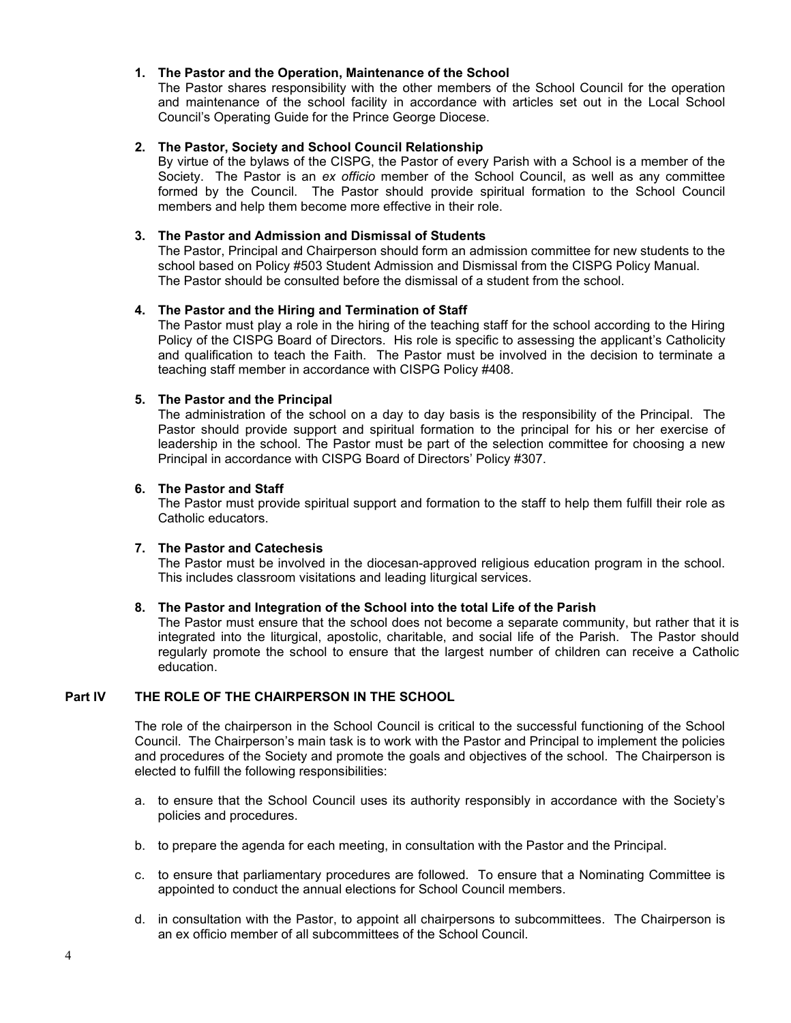# **1. The Pastor and the Operation, Maintenance of the School**

The Pastor shares responsibility with the other members of the School Council for the operation and maintenance of the school facility in accordance with articles set out in the Local School Council's Operating Guide for the Prince George Diocese.

# **2. The Pastor, Society and School Council Relationship**

By virtue of the bylaws of the CISPG, the Pastor of every Parish with a School is a member of the Society. The Pastor is an *ex officio* member of the School Council, as well as any committee formed by the Council. The Pastor should provide spiritual formation to the School Council members and help them become more effective in their role.

# **3. The Pastor and Admission and Dismissal of Students**

The Pastor, Principal and Chairperson should form an admission committee for new students to the school based on Policy #503 Student Admission and Dismissal from the CISPG Policy Manual. The Pastor should be consulted before the dismissal of a student from the school.

# **4. The Pastor and the Hiring and Termination of Staff**

The Pastor must play a role in the hiring of the teaching staff for the school according to the Hiring Policy of the CISPG Board of Directors. His role is specific to assessing the applicant's Catholicity and qualification to teach the Faith. The Pastor must be involved in the decision to terminate a teaching staff member in accordance with CISPG Policy #408.

# **5. The Pastor and the Principal**

The administration of the school on a day to day basis is the responsibility of the Principal. The Pastor should provide support and spiritual formation to the principal for his or her exercise of leadership in the school. The Pastor must be part of the selection committee for choosing a new Principal in accordance with CISPG Board of Directors' Policy #307.

# **6. The Pastor and Staff**

The Pastor must provide spiritual support and formation to the staff to help them fulfill their role as Catholic educators.

# **7. The Pastor and Catechesis**

The Pastor must be involved in the diocesan-approved religious education program in the school. This includes classroom visitations and leading liturgical services.

# **8. The Pastor and Integration of the School into the total Life of the Parish**

The Pastor must ensure that the school does not become a separate community, but rather that it is integrated into the liturgical, apostolic, charitable, and social life of the Parish. The Pastor should regularly promote the school to ensure that the largest number of children can receive a Catholic education.

# **Part IV THE ROLE OF THE CHAIRPERSON IN THE SCHOOL**

The role of the chairperson in the School Council is critical to the successful functioning of the School Council. The Chairperson's main task is to work with the Pastor and Principal to implement the policies and procedures of the Society and promote the goals and objectives of the school. The Chairperson is elected to fulfill the following responsibilities:

- a. to ensure that the School Council uses its authority responsibly in accordance with the Society's policies and procedures.
- b. to prepare the agenda for each meeting, in consultation with the Pastor and the Principal.
- c. to ensure that parliamentary procedures are followed. To ensure that a Nominating Committee is appointed to conduct the annual elections for School Council members.
- d. in consultation with the Pastor, to appoint all chairpersons to subcommittees. The Chairperson is an ex officio member of all subcommittees of the School Council.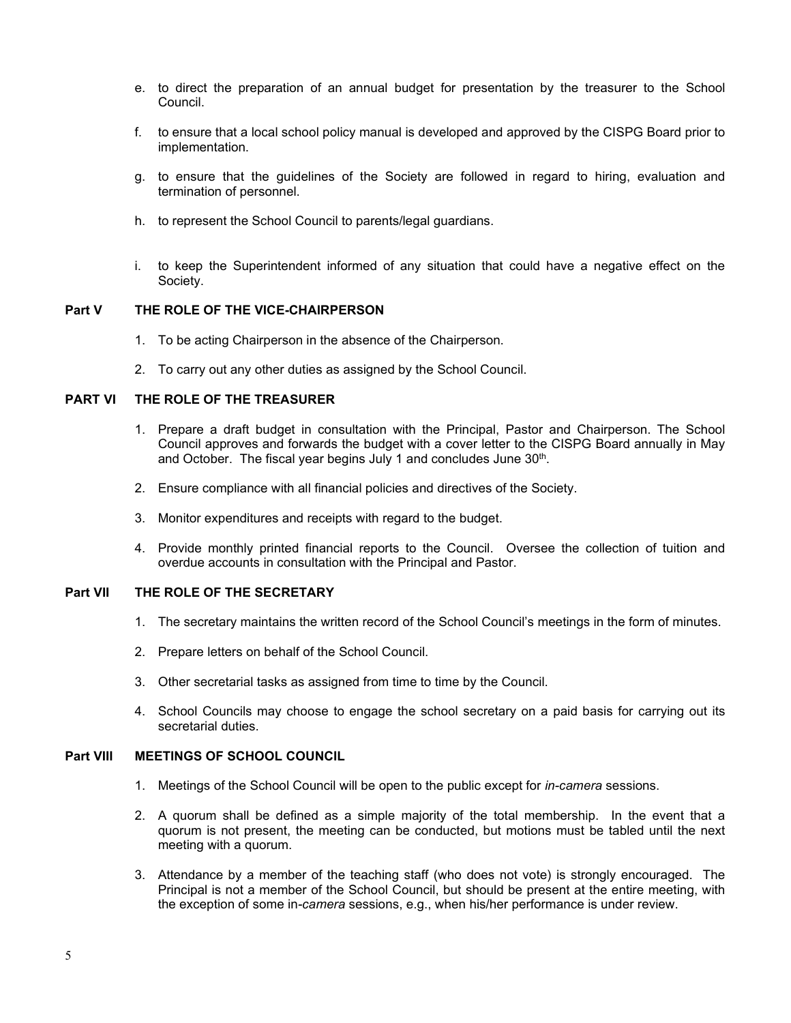- e. to direct the preparation of an annual budget for presentation by the treasurer to the School Council.
- f. to ensure that a local school policy manual is developed and approved by the CISPG Board prior to implementation.
- g. to ensure that the guidelines of the Society are followed in regard to hiring, evaluation and termination of personnel.
- h. to represent the School Council to parents/legal guardians.
- i. to keep the Superintendent informed of any situation that could have a negative effect on the Society.

#### **Part V THE ROLE OF THE VICE-CHAIRPERSON**

- 1. To be acting Chairperson in the absence of the Chairperson.
- 2. To carry out any other duties as assigned by the School Council.

# **PART VI THE ROLE OF THE TREASURER**

- 1. Prepare a draft budget in consultation with the Principal, Pastor and Chairperson. The School Council approves and forwards the budget with a cover letter to the CISPG Board annually in May and October. The fiscal year begins July 1 and concludes June  $30<sup>th</sup>$ .
- 2. Ensure compliance with all financial policies and directives of the Society.
- 3. Monitor expenditures and receipts with regard to the budget.
- 4. Provide monthly printed financial reports to the Council. Oversee the collection of tuition and overdue accounts in consultation with the Principal and Pastor.

#### **Part VII THE ROLE OF THE SECRETARY**

- 1. The secretary maintains the written record of the School Council's meetings in the form of minutes.
- 2. Prepare letters on behalf of the School Council.
- 3. Other secretarial tasks as assigned from time to time by the Council.
- 4. School Councils may choose to engage the school secretary on a paid basis for carrying out its secretarial duties.

# **Part VIII MEETINGS OF SCHOOL COUNCIL**

- 1. Meetings of the School Council will be open to the public except for *in-camera* sessions.
- 2. A quorum shall be defined as a simple majority of the total membership. In the event that a quorum is not present, the meeting can be conducted, but motions must be tabled until the next meeting with a quorum.
- 3. Attendance by a member of the teaching staff (who does not vote) is strongly encouraged. The Principal is not a member of the School Council, but should be present at the entire meeting, with the exception of some in*-camera* sessions, e.g., when his/her performance is under review.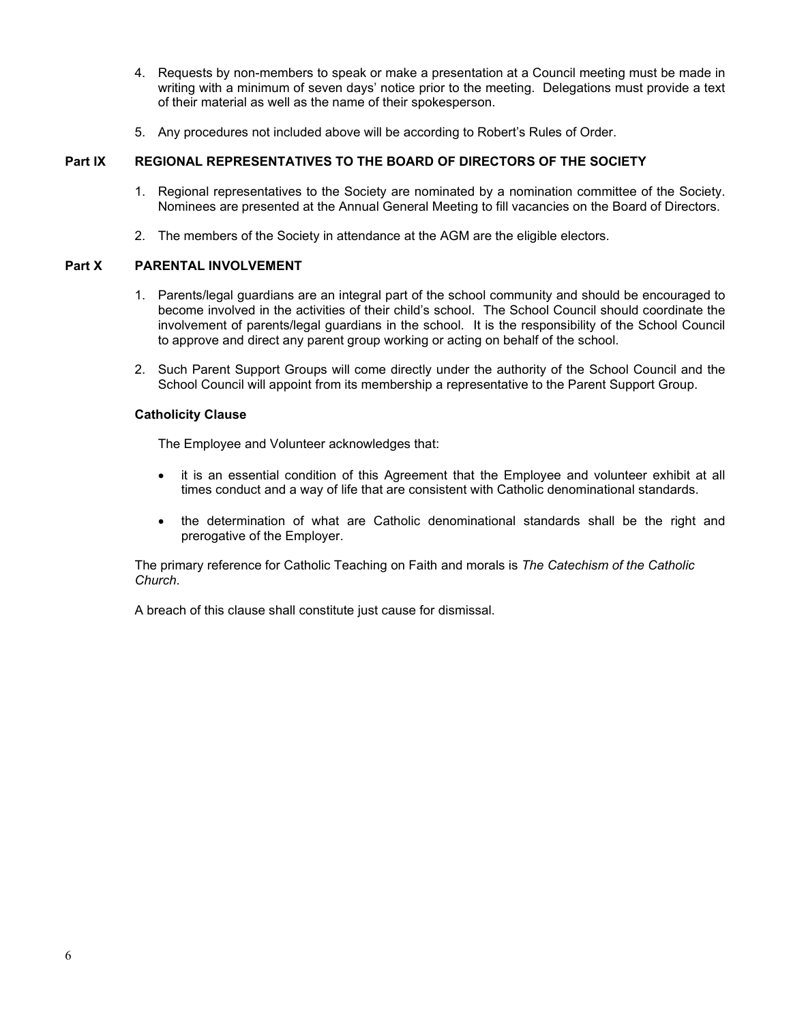- 4. Requests by non-members to speak or make a presentation at a Council meeting must be made in writing with a minimum of seven days' notice prior to the meeting. Delegations must provide a text of their material as well as the name of their spokesperson.
- 5. Any procedures not included above will be according to Robert's Rules of Order.

# **Part IX REGIONAL REPRESENTATIVES TO THE BOARD OF DIRECTORS OF THE SOCIETY**

- 1. Regional representatives to the Society are nominated by a nomination committee of the Society. Nominees are presented at the Annual General Meeting to fill vacancies on the Board of Directors.
- 2. The members of the Society in attendance at the AGM are the eligible electors.

# **Part X PARENTAL INVOLVEMENT**

- 1. Parents/legal guardians are an integral part of the school community and should be encouraged to become involved in the activities of their child's school. The School Council should coordinate the involvement of parents/legal guardians in the school. It is the responsibility of the School Council to approve and direct any parent group working or acting on behalf of the school.
- 2. Such Parent Support Groups will come directly under the authority of the School Council and the School Council will appoint from its membership a representative to the Parent Support Group.

#### **Catholicity Clause**

The Employee and Volunteer acknowledges that:

- it is an essential condition of this Agreement that the Employee and volunteer exhibit at all times conduct and a way of life that are consistent with Catholic denominational standards.
- the determination of what are Catholic denominational standards shall be the right and prerogative of the Employer.

The primary reference for Catholic Teaching on Faith and morals is *The Catechism of the Catholic Church*.

A breach of this clause shall constitute just cause for dismissal.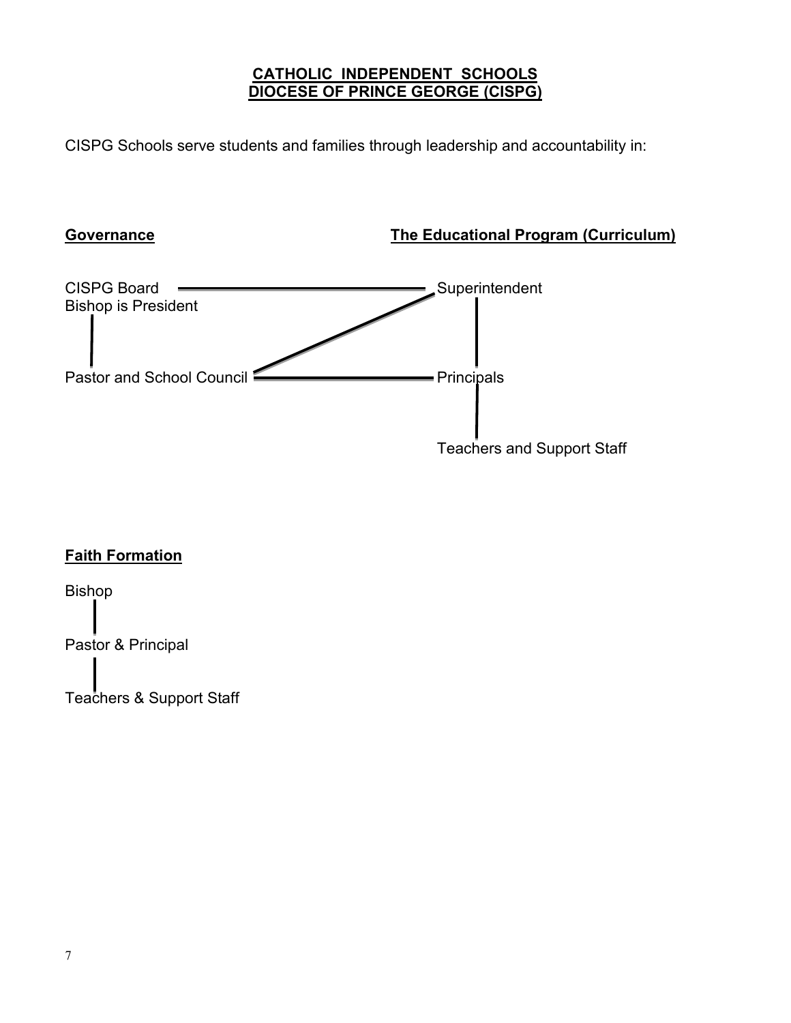# **CATHOLIC INDEPENDENT SCHOOLS DIOCESE OF PRINCE GEORGE (CISPG)**

CISPG Schools serve students and families through leadership and accountability in:



# **Faith Formation**

Bishop

Pastor & Principal

Teachers & Support Staff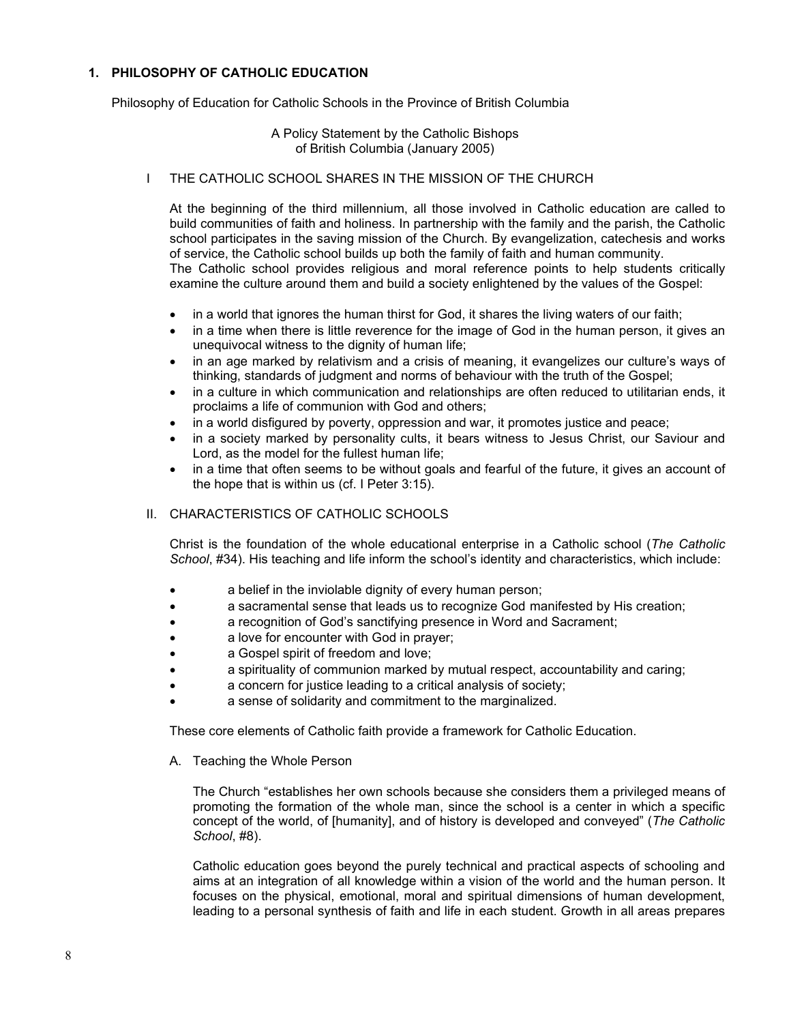# **1. PHILOSOPHY OF CATHOLIC EDUCATION**

Philosophy of Education for Catholic Schools in the Province of British Columbia

A Policy Statement by the Catholic Bishops of British Columbia (January 2005)

# I THE CATHOLIC SCHOOL SHARES IN THE MISSION OF THE CHURCH

At the beginning of the third millennium, all those involved in Catholic education are called to build communities of faith and holiness. In partnership with the family and the parish, the Catholic school participates in the saving mission of the Church. By evangelization, catechesis and works of service, the Catholic school builds up both the family of faith and human community. The Catholic school provides religious and moral reference points to help students critically examine the culture around them and build a society enlightened by the values of the Gospel:

- in a world that ignores the human thirst for God, it shares the living waters of our faith;
- in a time when there is little reverence for the image of God in the human person, it gives an unequivocal witness to the dignity of human life;
- in an age marked by relativism and a crisis of meaning, it evangelizes our culture's ways of thinking, standards of judgment and norms of behaviour with the truth of the Gospel;
- in a culture in which communication and relationships are often reduced to utilitarian ends, it proclaims a life of communion with God and others;
- in a world disfigured by poverty, oppression and war, it promotes justice and peace;
- in a society marked by personality cults, it bears witness to Jesus Christ, our Saviour and Lord, as the model for the fullest human life;
- in a time that often seems to be without goals and fearful of the future, it gives an account of the hope that is within us (cf. I Peter 3:15).

# II. CHARACTERISTICS OF CATHOLIC SCHOOLS

Christ is the foundation of the whole educational enterprise in a Catholic school (*The Catholic School*, #34). His teaching and life inform the school's identity and characteristics, which include:

- a belief in the inviolable dignity of every human person;
- a sacramental sense that leads us to recognize God manifested by His creation;
- a recognition of God's sanctifying presence in Word and Sacrament;
- a love for encounter with God in prayer;
- a Gospel spirit of freedom and love;
- a spirituality of communion marked by mutual respect, accountability and caring;
- a concern for justice leading to a critical analysis of society;
- a sense of solidarity and commitment to the marginalized.

These core elements of Catholic faith provide a framework for Catholic Education.

# A. Teaching the Whole Person

The Church "establishes her own schools because she considers them a privileged means of promoting the formation of the whole man, since the school is a center in which a specific concept of the world, of [humanity], and of history is developed and conveyed" (*The Catholic School*, #8).

Catholic education goes beyond the purely technical and practical aspects of schooling and aims at an integration of all knowledge within a vision of the world and the human person. It focuses on the physical, emotional, moral and spiritual dimensions of human development, leading to a personal synthesis of faith and life in each student. Growth in all areas prepares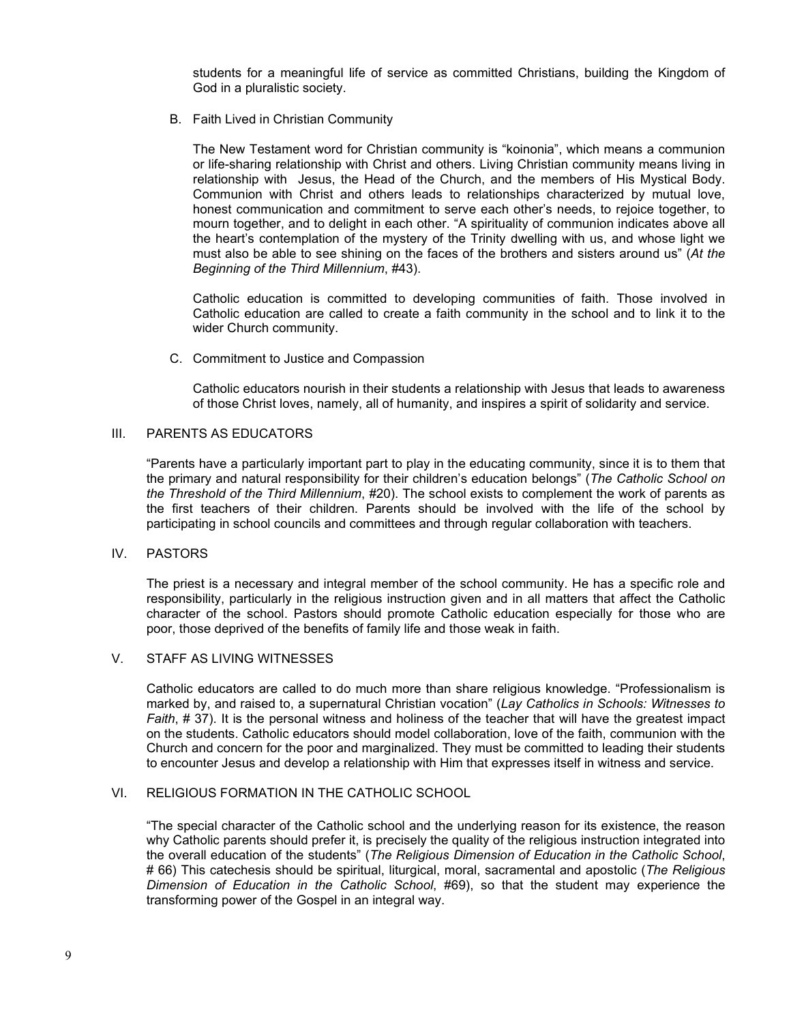students for a meaningful life of service as committed Christians, building the Kingdom of God in a pluralistic society.

B. Faith Lived in Christian Community

The New Testament word for Christian community is "koinonia", which means a communion or life-sharing relationship with Christ and others. Living Christian community means living in relationship with Jesus, the Head of the Church, and the members of His Mystical Body. Communion with Christ and others leads to relationships characterized by mutual love, honest communication and commitment to serve each other's needs, to rejoice together, to mourn together, and to delight in each other. "A spirituality of communion indicates above all the heart's contemplation of the mystery of the Trinity dwelling with us, and whose light we must also be able to see shining on the faces of the brothers and sisters around us" (*At the Beginning of the Third Millennium*, #43).

Catholic education is committed to developing communities of faith. Those involved in Catholic education are called to create a faith community in the school and to link it to the wider Church community.

C. Commitment to Justice and Compassion

Catholic educators nourish in their students a relationship with Jesus that leads to awareness of those Christ loves, namely, all of humanity, and inspires a spirit of solidarity and service.

#### III. PARENTS AS EDUCATORS

"Parents have a particularly important part to play in the educating community, since it is to them that the primary and natural responsibility for their children's education belongs" (*The Catholic School on the Threshold of the Third Millennium*, #20). The school exists to complement the work of parents as the first teachers of their children. Parents should be involved with the life of the school by participating in school councils and committees and through regular collaboration with teachers.

#### IV. PASTORS

The priest is a necessary and integral member of the school community. He has a specific role and responsibility, particularly in the religious instruction given and in all matters that affect the Catholic character of the school. Pastors should promote Catholic education especially for those who are poor, those deprived of the benefits of family life and those weak in faith.

#### V. STAFF AS LIVING WITNESSES

Catholic educators are called to do much more than share religious knowledge. "Professionalism is marked by, and raised to, a supernatural Christian vocation" (*Lay Catholics in Schools: Witnesses to Faith*, # 37). It is the personal witness and holiness of the teacher that will have the greatest impact on the students. Catholic educators should model collaboration, love of the faith, communion with the Church and concern for the poor and marginalized. They must be committed to leading their students to encounter Jesus and develop a relationship with Him that expresses itself in witness and service.

# VI. RELIGIOUS FORMATION IN THE CATHOLIC SCHOOL

"The special character of the Catholic school and the underlying reason for its existence, the reason why Catholic parents should prefer it, is precisely the quality of the religious instruction integrated into the overall education of the students" (*The Religious Dimension of Education in the Catholic School*, # 66) This catechesis should be spiritual, liturgical, moral, sacramental and apostolic (*The Religious Dimension of Education in the Catholic School*, #69), so that the student may experience the transforming power of the Gospel in an integral way.